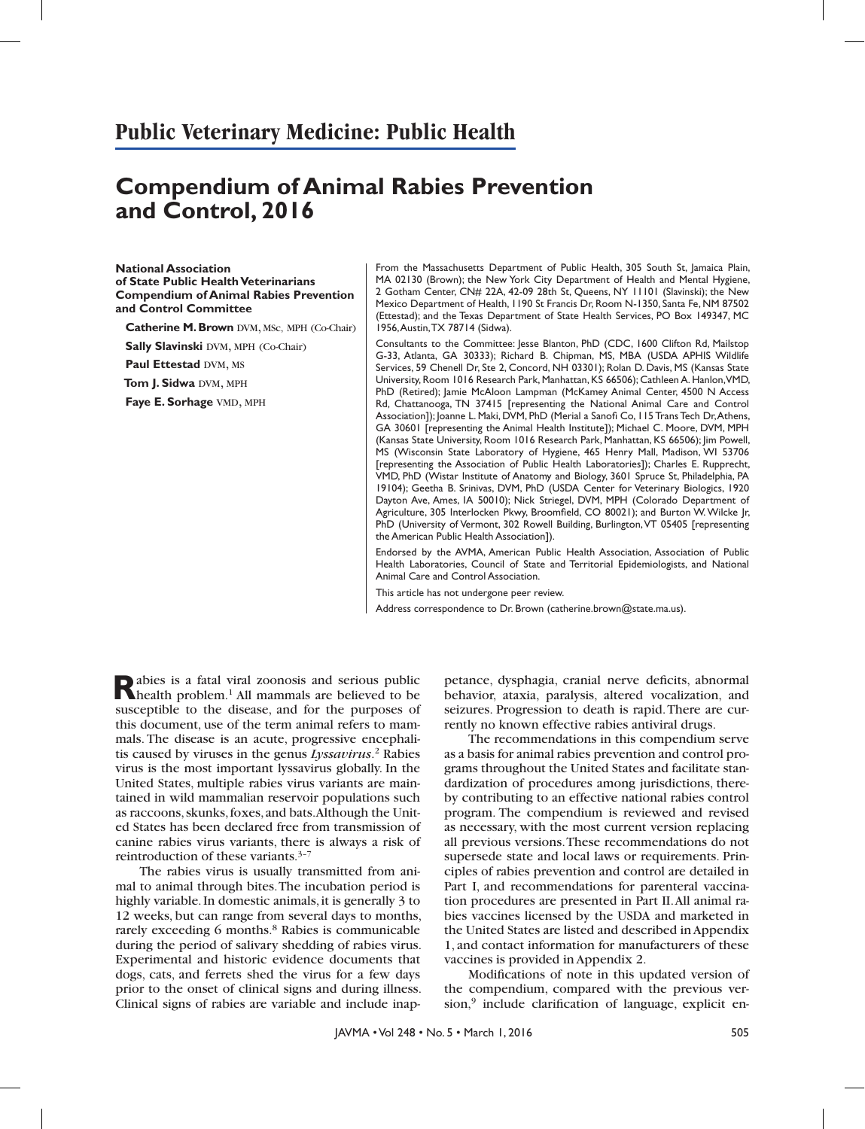## **Public Veterinary Medicine: Public Health**

# **Compendium of Animal Rabies Prevention and Control, 2016**

**National Association of State Public Health Veterinarians Compendium of Animal Rabies Prevention and Control Committee**

**Catherine M. Brown** DVM, MSc, MPH (Co-Chair)

**Sally Slavinski DVM, MPH (Co-Chair)** 

**Paul Ettestad DVM, MS** 

**Tom J. Sidwa DVM, MPH** 

**Faye E. Sorhage** VMD, MPH

From the Massachusetts Department of Public Health, 305 South St, Jamaica Plain, MA 02130 (Brown); the New York City Department of Health and Mental Hygiene, 2 Gotham Center, CN# 22A, 42-09 28th St, Queens, NY 11101 (Slavinski); the New Mexico Department of Health, 1190 St Francis Dr, Room N-1350, Santa Fe, NM 87502 (Ettestad); and the Texas Department of State Health Services, PO Box 149347, MC 1956, Austin, TX 78714 (Sidwa).

Consultants to the Committee: Jesse Blanton, PhD (CDC, 1600 Clifton Rd, Mailstop G-33, Atlanta, GA 30333); Richard B. Chipman, MS, MBA (USDA APHIS Wildlife Services, 59 Chenell Dr, Ste 2, Concord, NH 03301); Rolan D. Davis, MS (Kansas State University, Room 1016 Research Park, Manhattan, KS 66506); Cathleen A. Hanlon, VMD, PhD (Retired); Jamie McAloon Lampman (McKamey Animal Center, 4500 N Access Rd, Chattanooga, TN 37415 [representing the National Animal Care and Control Association]); Joanne L. Maki, DVM, PhD (Merial a Sanofi Co, 115 Trans Tech Dr, Athens, GA 30601 [representing the Animal Health Institute]); Michael C. Moore, DVM, MPH (Kansas State University, Room 1016 Research Park, Manhattan, KS 66506); Jim Powell, MS (Wisconsin State Laboratory of Hygiene, 465 Henry Mall, Madison, WI 53706 [representing the Association of Public Health Laboratories]); Charles E. Rupprecht, VMD, PhD (Wistar Institute of Anatomy and Biology, 3601 Spruce St, Philadelphia, PA 19104); Geetha B. Srinivas, DVM, PhD (USDA Center for Veterinary Biologics, 1920 Dayton Ave, Ames, IA 50010); Nick Striegel, DVM, MPH (Colorado Department of Agriculture, 305 Interlocken Pkwy, Broomfield, CO 80021); and Burton W. Wilcke Jr, PhD (University of Vermont, 302 Rowell Building, Burlington, VT 05405 [representing the American Public Health Association]).

Endorsed by the AVMA, American Public Health Association, Association of Public Health Laboratories, Council of State and Territorial Epidemiologists, and National Animal Care and Control Association.

This article has not undergone peer review.

Address correspondence to Dr. Brown (catherine.brown@state.ma.us).

Rabies is a fatal viral zoonosis and serious public<br>
health problem.<sup>1</sup> All mammals are believed to be susceptible to the disease, and for the purposes of this document, use of the term animal refers to mammals. The disease is an acute, progressive encephalitis caused by viruses in the genus *Lyssavirus*. 2 Rabies virus is the most important lyssavirus globally. In the United States, multiple rabies virus variants are maintained in wild mammalian reservoir populations such as raccoons, skunks, foxes, and bats. Although the United States has been declared free from transmission of canine rabies virus variants, there is always a risk of reintroduction of these variants.3–7

The rabies virus is usually transmitted from animal to animal through bites. The incubation period is highly variable. In domestic animals, it is generally 3 to 12 weeks, but can range from several days to months, rarely exceeding 6 months.<sup>8</sup> Rabies is communicable during the period of salivary shedding of rabies virus. Experimental and historic evidence documents that dogs, cats, and ferrets shed the virus for a few days prior to the onset of clinical signs and during illness. Clinical signs of rabies are variable and include inap-

petance, dysphagia, cranial nerve deficits, abnormal behavior, ataxia, paralysis, altered vocalization, and seizures. Progression to death is rapid. There are currently no known effective rabies antiviral drugs.

The recommendations in this compendium serve as a basis for animal rabies prevention and control programs throughout the United States and facilitate standardization of procedures among jurisdictions, thereby contributing to an effective national rabies control program. The compendium is reviewed and revised as necessary, with the most current version replacing all previous versions. These recommendations do not supersede state and local laws or requirements. Principles of rabies prevention and control are detailed in Part I, and recommendations for parenteral vaccination procedures are presented in Part II. All animal rabies vaccines licensed by the USDA and marketed in the United States are listed and described in Appendix 1, and contact information for manufacturers of these vaccines is provided in Appendix 2.

Modifications of note in this updated version of the compendium, compared with the previous ver $sion<sup>9</sup>$  include clarification of language, explicit en-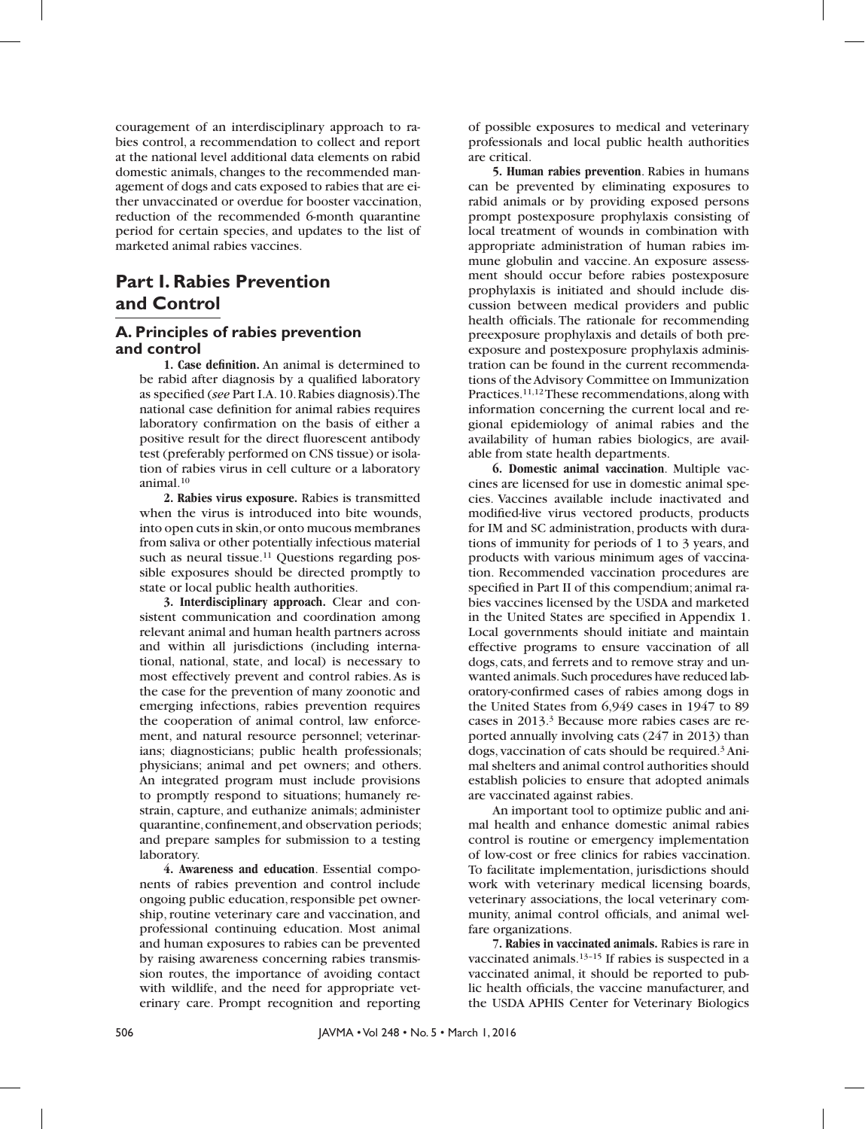couragement of an interdisciplinary approach to rabies control, a recommendation to collect and report at the national level additional data elements on rabid domestic animals, changes to the recommended management of dogs and cats exposed to rabies that are either unvaccinated or overdue for booster vaccination, reduction of the recommended 6-month quarantine period for certain species, and updates to the list of marketed animal rabies vaccines.

### **Part I. Rabies Prevention and Control**

### **A. Principles of rabies prevention and control**

**1. Case definition.** An animal is determined to be rabid after diagnosis by a qualified laboratory as specified (see Part I.A. 10. Rabies diagnosis). The national case definition for animal rabies requires laboratory confirmation on the basis of either a positive result for the direct fluorescent antibody test (preferably performed on CNS tissue) or isolation of rabies virus in cell culture or a laboratory animal.10

**2. Rabies virus exposure.** Rabies is transmitted when the virus is introduced into bite wounds, into open cuts in skin, or onto mucous membranes from saliva or other potentially infectious material such as neural tissue.<sup>11</sup> Questions regarding possible exposures should be directed promptly to state or local public health authorities.

**3. Interdisciplinary approach.** Clear and consistent communication and coordination among relevant animal and human health partners across and within all jurisdictions (including international, national, state, and local) is necessary to most effectively prevent and control rabies. As is the case for the prevention of many zoonotic and emerging infections, rabies prevention requires the cooperation of animal control, law enforcement, and natural resource personnel; veterinarians; diagnosticians; public health professionals; physicians; animal and pet owners; and others. An integrated program must include provisions to promptly respond to situations; humanely restrain, capture, and euthanize animals; administer quarantine, confinement, and observation periods; and prepare samples for submission to a testing laboratory.

**4. Awareness and education**. Essential components of rabies prevention and control include ongoing public education, responsible pet ownership, routine veterinary care and vaccination, and professional continuing education. Most animal and human exposures to rabies can be prevented by raising awareness concerning rabies transmission routes, the importance of avoiding contact with wildlife, and the need for appropriate veterinary care. Prompt recognition and reporting

of possible exposures to medical and veterinary professionals and local public health authorities are critical.

**5. Human rabies prevention**. Rabies in humans can be prevented by eliminating exposures to rabid animals or by providing exposed persons prompt postexposure prophylaxis consisting of local treatment of wounds in combination with appropriate administration of human rabies immune globulin and vaccine. An exposure assessment should occur before rabies postexposure prophylaxis is initiated and should include discussion between medical providers and public health officials. The rationale for recommending preexposure prophylaxis and details of both preexposure and postexposure prophylaxis administration can be found in the current recommendations of the Advisory Committee on Immunization Practices.11,12 These recommendations, along with information concerning the current local and regional epidemiology of animal rabies and the availability of human rabies biologics, are available from state health departments.

**6. Domestic animal vaccination**. Multiple vaccines are licensed for use in domestic animal species. Vaccines available include inactivated and modified-live virus vectored products, products for IM and SC administration, products with durations of immunity for periods of 1 to 3 years, and products with various minimum ages of vaccination. Recommended vaccination procedures are specified in Part II of this compendium; animal rabies vaccines licensed by the USDA and marketed in the United States are specified in Appendix 1. Local governments should initiate and maintain effective programs to ensure vaccination of all dogs, cats, and ferrets and to remove stray and unwanted animals. Such procedures have reduced laboratory-confirmed cases of rabies among dogs in the United States from 6,949 cases in 1947 to 89 cases in 2013.3 Because more rabies cases are reported annually involving cats (247 in 2013) than dogs, vaccination of cats should be required.3 Animal shelters and animal control authorities should establish policies to ensure that adopted animals are vaccinated against rabies.

An important tool to optimize public and animal health and enhance domestic animal rabies control is routine or emergency implementation of low-cost or free clinics for rabies vaccination. To facilitate implementation, jurisdictions should work with veterinary medical licensing boards, veterinary associations, the local veterinary community, animal control officials, and animal welfare organizations.

**7. Rabies in vaccinated animals.** Rabies is rare in vaccinated animals.13–15 If rabies is suspected in a vaccinated animal, it should be reported to public health officials, the vaccine manufacturer, and the USDA APHIS Center for Veterinary Biologics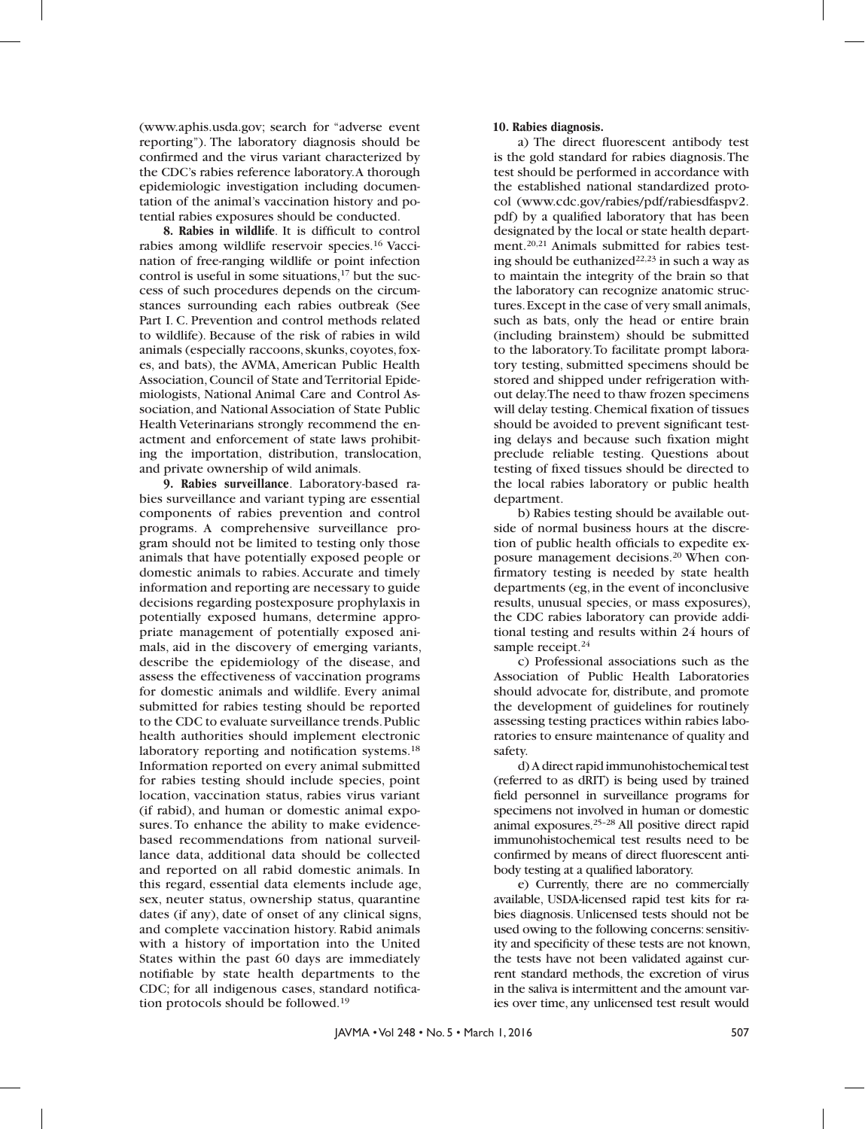(www.aphis.usda.gov; search for "adverse event reporting"). The laboratory diagnosis should be confirmed and the virus variant characterized by the CDC's rabies reference laboratory. A thorough epidemiologic investigation including documentation of the animal's vaccination history and potential rabies exposures should be conducted.

**8. Rabies in wildlife**. It is difficult to control rabies among wildlife reservoir species.16 Vaccination of free-ranging wildlife or point infection control is useful in some situations, $17$  but the success of such procedures depends on the circumstances surrounding each rabies outbreak (See Part I. C. Prevention and control methods related to wildlife). Because of the risk of rabies in wild animals (especially raccoons, skunks, coyotes, foxes, and bats), the AVMA, American Public Health Association, Council of State and Territorial Epidemiologists, National Animal Care and Control Association, and National Association of State Public Health Veterinarians strongly recommend the enactment and enforcement of state laws prohibiting the importation, distribution, translocation, and private ownership of wild animals.

**9. Rabies surveillance**. Laboratory-based rabies surveillance and variant typing are essential components of rabies prevention and control programs. A comprehensive surveillance program should not be limited to testing only those animals that have potentially exposed people or domestic animals to rabies. Accurate and timely information and reporting are necessary to guide decisions regarding postexposure prophylaxis in potentially exposed humans, determine appropriate management of potentially exposed animals, aid in the discovery of emerging variants, describe the epidemiology of the disease, and assess the effectiveness of vaccination programs for domestic animals and wildlife. Every animal submitted for rabies testing should be reported to the CDC to evaluate surveillance trends. Public health authorities should implement electronic laboratory reporting and notification systems.<sup>18</sup> Information reported on every animal submitted for rabies testing should include species, point location, vaccination status, rabies virus variant (if rabid), and human or domestic animal exposures. To enhance the ability to make evidencebased recommendations from national surveillance data, additional data should be collected and reported on all rabid domestic animals. In this regard, essential data elements include age, sex, neuter status, ownership status, quarantine dates (if any), date of onset of any clinical signs, and complete vaccination history. Rabid animals with a history of importation into the United States within the past 60 days are immediately notifiable by state health departments to the CDC; for all indigenous cases, standard notification protocols should be followed.19

#### **10. Rabies diagnosis.**

a) The direct fluorescent antibody test is the gold standard for rabies diagnosis. The test should be performed in accordance with the established national standardized protocol (www.cdc.gov/rabies/pdf/rabiesdfaspv2. pdf) by a qualified laboratory that has been designated by the local or state health department.20,21 Animals submitted for rabies testing should be euthanized<sup>22,23</sup> in such a way as to maintain the integrity of the brain so that the laboratory can recognize anatomic structures. Except in the case of very small animals, such as bats, only the head or entire brain (including brainstem) should be submitted to the laboratory. To facilitate prompt laboratory testing, submitted specimens should be stored and shipped under refrigeration without delay. The need to thaw frozen specimens will delay testing. Chemical fixation of tissues should be avoided to prevent significant testing delays and because such fixation might preclude reliable testing. Questions about testing of fixed tissues should be directed to the local rabies laboratory or public health department.

b) Rabies testing should be available outside of normal business hours at the discretion of public health officials to expedite exposure management decisions.20 When confirmatory testing is needed by state health departments (eg, in the event of inconclusive results, unusual species, or mass exposures), the CDC rabies laboratory can provide additional testing and results within 24 hours of sample receipt.<sup>24</sup>

c) Professional associations such as the Association of Public Health Laboratories should advocate for, distribute, and promote the development of guidelines for routinely assessing testing practices within rabies laboratories to ensure maintenance of quality and safety.

d) A direct rapid immunohistochemical test (referred to as dRIT) is being used by trained field personnel in surveillance programs for specimens not involved in human or domestic animal exposures.25–28 All positive direct rapid immunohistochemical test results need to be confirmed by means of direct fluorescent antibody testing at a qualified laboratory.

e) Currently, there are no commercially available, USDA-licensed rapid test kits for rabies diagnosis. Unlicensed tests should not be used owing to the following concerns: sensitivity and specificity of these tests are not known, the tests have not been validated against current standard methods, the excretion of virus in the saliva is intermittent and the amount varies over time, any unlicensed test result would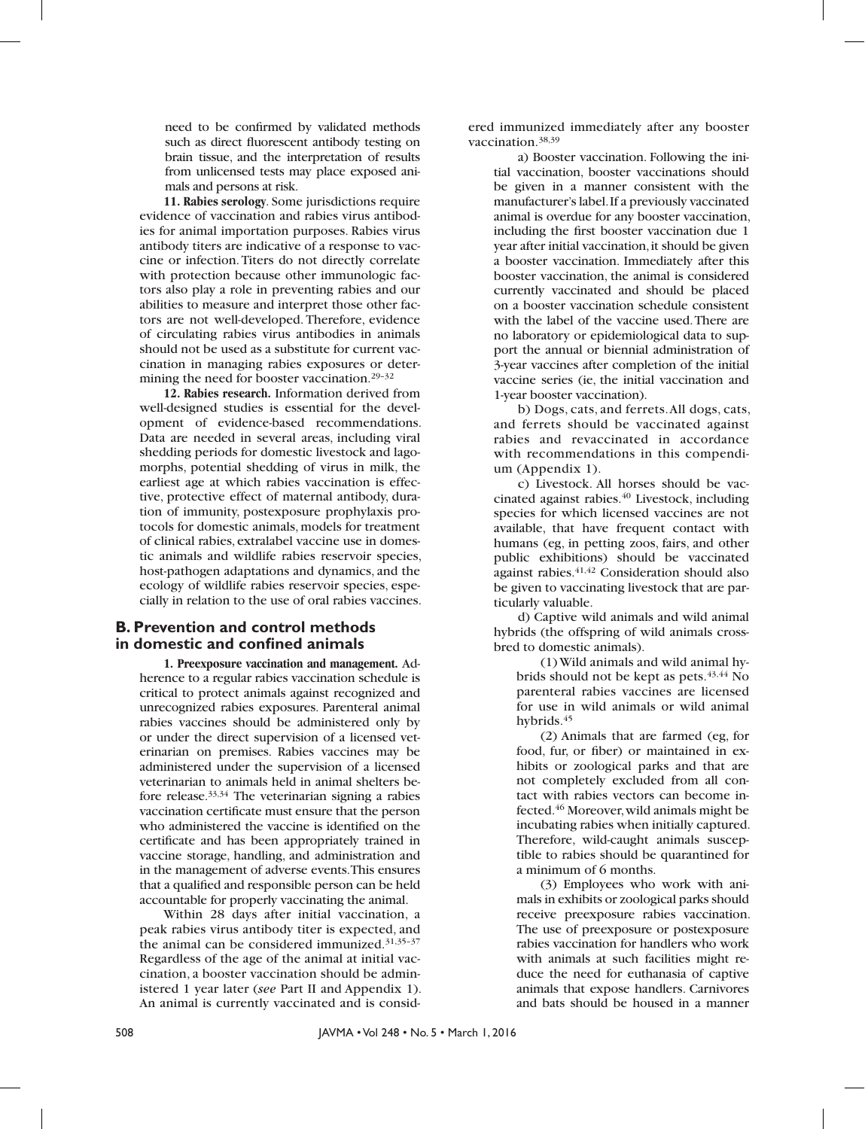need to be confirmed by validated methods such as direct fluorescent antibody testing on brain tissue, and the interpretation of results from unlicensed tests may place exposed animals and persons at risk.

**11. Rabies serology**. Some jurisdictions require evidence of vaccination and rabies virus antibodies for animal importation purposes. Rabies virus antibody titers are indicative of a response to vaccine or infection. Titers do not directly correlate with protection because other immunologic factors also play a role in preventing rabies and our abilities to measure and interpret those other factors are not well-developed. Therefore, evidence of circulating rabies virus antibodies in animals should not be used as a substitute for current vaccination in managing rabies exposures or determining the need for booster vaccination.29–32

**12. Rabies research.** Information derived from well-designed studies is essential for the development of evidence-based recommendations. Data are needed in several areas, including viral shedding periods for domestic livestock and lagomorphs, potential shedding of virus in milk, the earliest age at which rabies vaccination is effective, protective effect of maternal antibody, duration of immunity, postexposure prophylaxis protocols for domestic animals, models for treatment of clinical rabies, extralabel vaccine use in domestic animals and wildlife rabies reservoir species, host-pathogen adaptations and dynamics, and the ecology of wildlife rabies reservoir species, especially in relation to the use of oral rabies vaccines.

### **B. Prevention and control methods in domestic and confined animals**

**1. Preexposure vaccination and management.** Adherence to a regular rabies vaccination schedule is critical to protect animals against recognized and unrecognized rabies exposures. Parenteral animal rabies vaccines should be administered only by or under the direct supervision of a licensed veterinarian on premises. Rabies vaccines may be administered under the supervision of a licensed veterinarian to animals held in animal shelters before release.33,34 The veterinarian signing a rabies vaccination certificate must ensure that the person who administered the vaccine is identified on the certificate and has been appropriately trained in vaccine storage, handling, and administration and in the management of adverse events. This ensures that a qualified and responsible person can be held accountable for properly vaccinating the animal.

Within 28 days after initial vaccination, a peak rabies virus antibody titer is expected, and the animal can be considered immunized.31,35–37 Regardless of the age of the animal at initial vaccination, a booster vaccination should be administered 1 year later (*see* Part II and Appendix 1). An animal is currently vaccinated and is considered immunized immediately after any booster vaccination.38,39

a) Booster vaccination. Following the initial vaccination, booster vaccinations should be given in a manner consistent with the manufacturer's label. If a previously vaccinated animal is overdue for any booster vaccination, including the first booster vaccination due 1 year after initial vaccination, it should be given a booster vaccination. Immediately after this booster vaccination, the animal is considered currently vaccinated and should be placed on a booster vaccination schedule consistent with the label of the vaccine used. There are no laboratory or epidemiological data to support the annual or biennial administration of 3-year vaccines after completion of the initial vaccine series (ie, the initial vaccination and 1-year booster vaccination).

b) Dogs, cats, and ferrets. All dogs, cats, and ferrets should be vaccinated against rabies and revaccinated in accordance with recommendations in this compendium (Appendix 1).

c) Livestock. All horses should be vaccinated against rabies.<sup>40</sup> Livestock, including species for which licensed vaccines are not available, that have frequent contact with humans (eg, in petting zoos, fairs, and other public exhibitions) should be vaccinated against rabies.41,42 Consideration should also be given to vaccinating livestock that are particularly valuable.

d) Captive wild animals and wild animal hybrids (the offspring of wild animals crossbred to domestic animals).

(1) Wild animals and wild animal hybrids should not be kept as pets. $43,44$  No parenteral rabies vaccines are licensed for use in wild animals or wild animal hybrids.<sup>45</sup>

(2) Animals that are farmed (eg, for food, fur, or fiber) or maintained in exhibits or zoological parks and that are not completely excluded from all contact with rabies vectors can become infected.46 Moreover, wild animals might be incubating rabies when initially captured. Therefore, wild-caught animals susceptible to rabies should be quarantined for a minimum of 6 months.

(3) Employees who work with animals in exhibits or zoological parks should receive preexposure rabies vaccination. The use of preexposure or postexposure rabies vaccination for handlers who work with animals at such facilities might reduce the need for euthanasia of captive animals that expose handlers. Carnivores and bats should be housed in a manner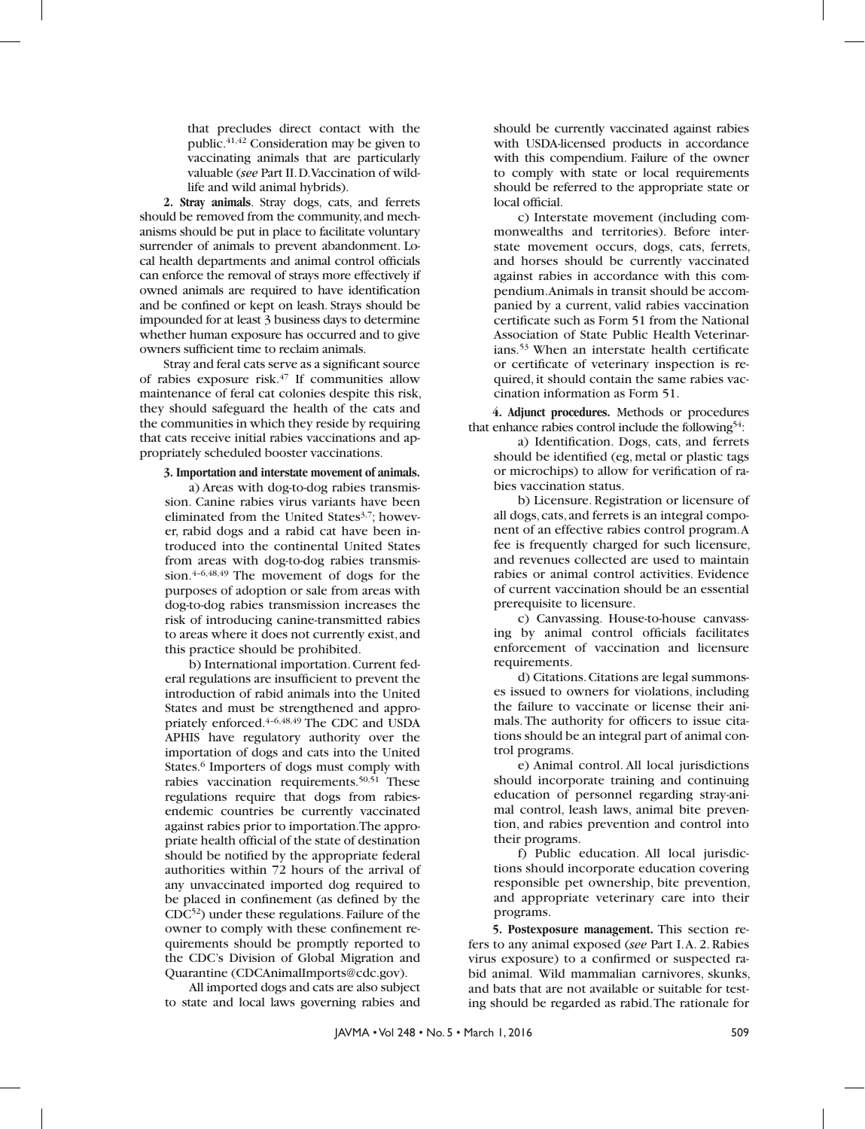that precludes direct contact with the public.41,42 Consideration may be given to vaccinating animals that are particularly valuable (*see* Part II. D. Vaccination of wildlife and wild animal hybrids).

**2. Stray animals**. Stray dogs, cats, and ferrets should be removed from the community, and mechanisms should be put in place to facilitate voluntary surrender of animals to prevent abandonment. Local health departments and animal control officials can enforce the removal of strays more effectively if owned animals are required to have identification and be confined or kept on leash. Strays should be impounded for at least 3 business days to determine whether human exposure has occurred and to give owners sufficient time to reclaim animals.

Stray and feral cats serve as a significant source of rabies exposure risk.47 If communities allow maintenance of feral cat colonies despite this risk, they should safeguard the health of the cats and the communities in which they reside by requiring that cats receive initial rabies vaccinations and appropriately scheduled booster vaccinations.

#### **3. Importation and interstate movement of animals.**

a) Areas with dog-to-dog rabies transmission. Canine rabies virus variants have been eliminated from the United States<sup>3,7</sup>; however, rabid dogs and a rabid cat have been introduced into the continental United States from areas with dog-to-dog rabies transmission.4–6,48,49 The movement of dogs for the purposes of adoption or sale from areas with dog-to-dog rabies transmission increases the risk of introducing canine-transmitted rabies to areas where it does not currently exist, and this practice should be prohibited.

b) International importation. Current federal regulations are insufficient to prevent the introduction of rabid animals into the United States and must be strengthened and appropriately enforced.4–6,48,49 The CDC and USDA APHIS have regulatory authority over the importation of dogs and cats into the United States.<sup>6</sup> Importers of dogs must comply with rabies vaccination requirements.<sup>50,51</sup> These regulations require that dogs from rabiesendemic countries be currently vaccinated against rabies prior to importation. The appropriate health official of the state of destination should be notified by the appropriate federal authorities within 72 hours of the arrival of any unvaccinated imported dog required to be placed in confinement (as defined by the CDC52) under these regulations. Failure of the owner to comply with these confinement requirements should be promptly reported to the CDC's Division of Global Migration and Quarantine (CDCAnimalImports@cdc.gov).

All imported dogs and cats are also subject to state and local laws governing rabies and

should be currently vaccinated against rabies with USDA-licensed products in accordance with this compendium. Failure of the owner to comply with state or local requirements should be referred to the appropriate state or local official.

c) Interstate movement (including commonwealths and territories). Before interstate movement occurs, dogs, cats, ferrets, and horses should be currently vaccinated against rabies in accordance with this compendium. Animals in transit should be accompanied by a current, valid rabies vaccination certificate such as Form 51 from the National Association of State Public Health Veterinarians.53 When an interstate health certificate or certificate of veterinary inspection is required, it should contain the same rabies vaccination information as Form 51.

**4. Adjunct procedures.** Methods or procedures that enhance rabies control include the following<sup>54</sup>:

a) Identification. Dogs, cats, and ferrets should be identified (eg, metal or plastic tags or microchips) to allow for verification of rabies vaccination status.

b) Licensure. Registration or licensure of all dogs, cats, and ferrets is an integral component of an effective rabies control program. A fee is frequently charged for such licensure, and revenues collected are used to maintain rabies or animal control activities. Evidence of current vaccination should be an essential prerequisite to licensure.

c) Canvassing. House-to-house canvassing by animal control officials facilitates enforcement of vaccination and licensure requirements.

d) Citations. Citations are legal summonses issued to owners for violations, including the failure to vaccinate or license their animals. The authority for officers to issue citations should be an integral part of animal control programs.

e) Animal control. All local jurisdictions should incorporate training and continuing education of personnel regarding stray-animal control, leash laws, animal bite prevention, and rabies prevention and control into their programs.

f) Public education. All local jurisdictions should incorporate education covering responsible pet ownership, bite prevention, and appropriate veterinary care into their programs.

**5. Postexposure management.** This section refers to any animal exposed (*see* Part I. A. 2. Rabies virus exposure) to a confirmed or suspected rabid animal. Wild mammalian carnivores, skunks, and bats that are not available or suitable for testing should be regarded as rabid. The rationale for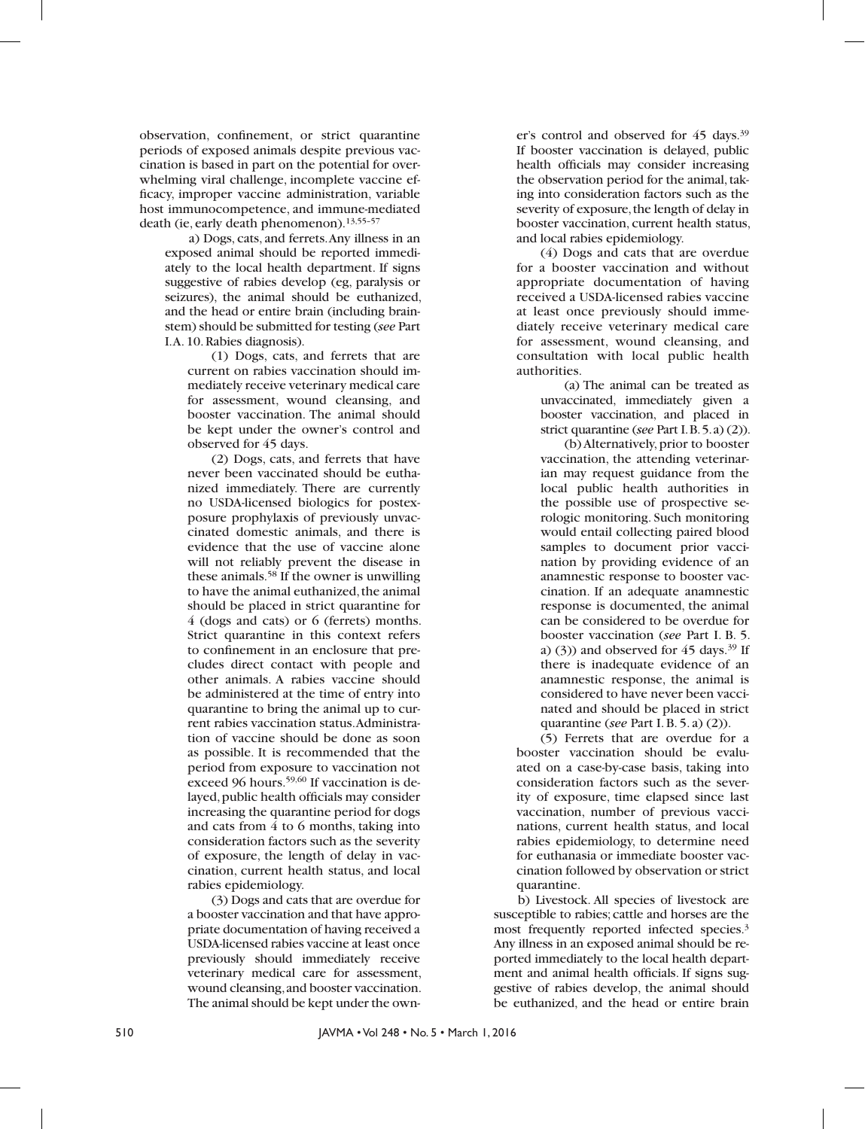observation, confinement, or strict quarantine periods of exposed animals despite previous vaccination is based in part on the potential for overwhelming viral challenge, incomplete vaccine efficacy, improper vaccine administration, variable host immunocompetence, and immune-mediated death (ie, early death phenomenon).13,55–57

a) Dogs, cats, and ferrets. Any illness in an exposed animal should be reported immediately to the local health department. If signs suggestive of rabies develop (eg, paralysis or seizures), the animal should be euthanized, and the head or entire brain (including brainstem) should be submitted for testing (*see* Part I. A. 10. Rabies diagnosis).

(1) Dogs, cats, and ferrets that are current on rabies vaccination should immediately receive veterinary medical care for assessment, wound cleansing, and booster vaccination. The animal should be kept under the owner's control and observed for 45 days.

(2) Dogs, cats, and ferrets that have never been vaccinated should be euthanized immediately. There are currently no USDA-licensed biologics for postexposure prophylaxis of previously unvaccinated domestic animals, and there is evidence that the use of vaccine alone will not reliably prevent the disease in these animals.58 If the owner is unwilling to have the animal euthanized, the animal should be placed in strict quarantine for 4 (dogs and cats) or 6 (ferrets) months. Strict quarantine in this context refers to confinement in an enclosure that precludes direct contact with people and other animals. A rabies vaccine should be administered at the time of entry into quarantine to bring the animal up to current rabies vaccination status. Administration of vaccine should be done as soon as possible. It is recommended that the period from exposure to vaccination not exceed 96 hours.<sup>59,60</sup> If vaccination is delayed, public health officials may consider increasing the quarantine period for dogs and cats from 4 to 6 months, taking into consideration factors such as the severity of exposure, the length of delay in vaccination, current health status, and local rabies epidemiology.

(3) Dogs and cats that are overdue for a booster vaccination and that have appropriate documentation of having received a USDA-licensed rabies vaccine at least once previously should immediately receive veterinary medical care for assessment, wound cleansing, and booster vaccination. The animal should be kept under the owner's control and observed for 45 days.39 If booster vaccination is delayed, public health officials may consider increasing the observation period for the animal, taking into consideration factors such as the severity of exposure, the length of delay in booster vaccination, current health status, and local rabies epidemiology.

(4) Dogs and cats that are overdue for a booster vaccination and without appropriate documentation of having received a USDA-licensed rabies vaccine at least once previously should immediately receive veterinary medical care for assessment, wound cleansing, and consultation with local public health authorities.

(a) The animal can be treated as unvaccinated, immediately given a booster vaccination, and placed in strict quarantine (*see* Part I. B. 5. a) (2)).

(b) Alternatively, prior to booster vaccination, the attending veterinarian may request guidance from the local public health authorities in the possible use of prospective serologic monitoring. Such monitoring would entail collecting paired blood samples to document prior vaccination by providing evidence of an anamnestic response to booster vaccination. If an adequate anamnestic response is documented, the animal can be considered to be overdue for booster vaccination (*see* Part I. B. 5. a) (3)) and observed for  $45 \text{ days}$ .<sup>39</sup> If there is inadequate evidence of an anamnestic response, the animal is considered to have never been vaccinated and should be placed in strict quarantine (*see* Part I. B. 5. a) (2)).

(5) Ferrets that are overdue for a booster vaccination should be evaluated on a case-by-case basis, taking into consideration factors such as the severity of exposure, time elapsed since last vaccination, number of previous vaccinations, current health status, and local rabies epidemiology, to determine need for euthanasia or immediate booster vaccination followed by observation or strict quarantine.

b) Livestock. All species of livestock are susceptible to rabies; cattle and horses are the most frequently reported infected species.3 Any illness in an exposed animal should be reported immediately to the local health department and animal health officials. If signs suggestive of rabies develop, the animal should be euthanized, and the head or entire brain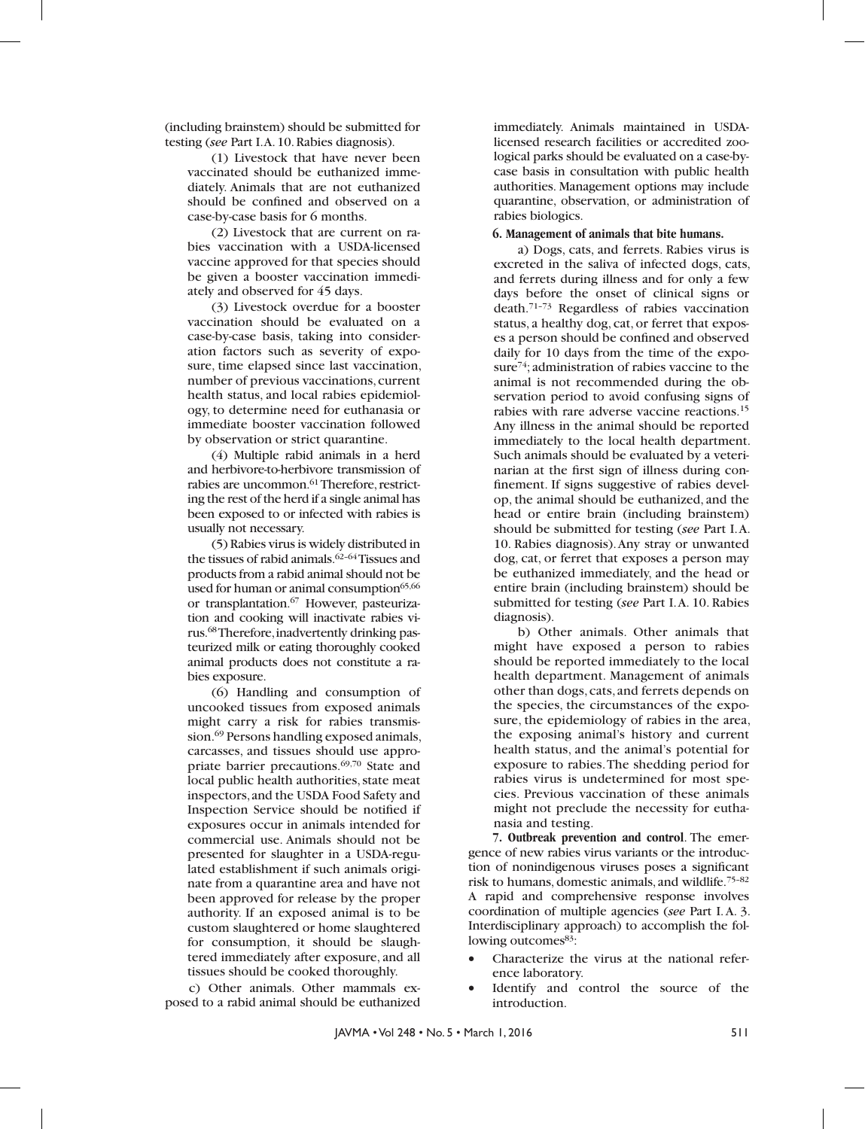(including brainstem) should be submitted for testing (*see* Part I. A. 10. Rabies diagnosis).

(1) Livestock that have never been vaccinated should be euthanized immediately. Animals that are not euthanized should be confined and observed on a case-by-case basis for 6 months.

(2) Livestock that are current on rabies vaccination with a USDA-licensed vaccine approved for that species should be given a booster vaccination immediately and observed for 45 days.

(3) Livestock overdue for a booster vaccination should be evaluated on a case-by-case basis, taking into consideration factors such as severity of exposure, time elapsed since last vaccination, number of previous vaccinations, current health status, and local rabies epidemiology, to determine need for euthanasia or immediate booster vaccination followed by observation or strict quarantine.

(4) Multiple rabid animals in a herd and herbivore-to-herbivore transmission of rabies are uncommon.<sup>61</sup> Therefore, restricting the rest of the herd if a single animal has been exposed to or infected with rabies is usually not necessary.

(5) Rabies virus is widely distributed in the tissues of rabid animals. $62-64$  Tissues and products from a rabid animal should not be used for human or animal consumption<sup>65,66</sup> or transplantation.67 However, pasteurization and cooking will inactivate rabies virus.68 Therefore, inadvertently drinking pasteurized milk or eating thoroughly cooked animal products does not constitute a rabies exposure.

(6) Handling and consumption of uncooked tissues from exposed animals might carry a risk for rabies transmission.69 Persons handling exposed animals, carcasses, and tissues should use appropriate barrier precautions.<sup>69,70</sup> State and local public health authorities, state meat inspectors, and the USDA Food Safety and Inspection Service should be notified if exposures occur in animals intended for commercial use. Animals should not be presented for slaughter in a USDA-regulated establishment if such animals originate from a quarantine area and have not been approved for release by the proper authority. If an exposed animal is to be custom slaughtered or home slaughtered for consumption, it should be slaughtered immediately after exposure, and all tissues should be cooked thoroughly.

c) Other animals. Other mammals exposed to a rabid animal should be euthanized

immediately. Animals maintained in USDAlicensed research facilities or accredited zoological parks should be evaluated on a case-bycase basis in consultation with public health authorities. Management options may include quarantine, observation, or administration of rabies biologics.

#### **6. Management of animals that bite humans.**

a) Dogs, cats, and ferrets. Rabies virus is excreted in the saliva of infected dogs, cats, and ferrets during illness and for only a few days before the onset of clinical signs or death.71–73 Regardless of rabies vaccination status, a healthy dog, cat, or ferret that exposes a person should be confined and observed daily for 10 days from the time of the exposure<sup>74</sup>; administration of rabies vaccine to the animal is not recommended during the observation period to avoid confusing signs of rabies with rare adverse vaccine reactions.15 Any illness in the animal should be reported immediately to the local health department. Such animals should be evaluated by a veterinarian at the first sign of illness during confinement. If signs suggestive of rabies develop, the animal should be euthanized, and the head or entire brain (including brainstem) should be submitted for testing (*see* Part I. A. 10. Rabies diagnosis). Any stray or unwanted dog, cat, or ferret that exposes a person may be euthanized immediately, and the head or entire brain (including brainstem) should be submitted for testing (*see* Part I. A. 10. Rabies diagnosis).

b) Other animals. Other animals that might have exposed a person to rabies should be reported immediately to the local health department. Management of animals other than dogs, cats, and ferrets depends on the species, the circumstances of the exposure, the epidemiology of rabies in the area, the exposing animal's history and current health status, and the animal's potential for exposure to rabies. The shedding period for rabies virus is undetermined for most species. Previous vaccination of these animals might not preclude the necessity for euthanasia and testing.

**7. Outbreak prevention and control**. The emergence of new rabies virus variants or the introduction of nonindigenous viruses poses a significant risk to humans, domestic animals, and wildlife.75–82 A rapid and comprehensive response involves coordination of multiple agencies (*see* Part I. A. 3. Interdisciplinary approach) to accomplish the following outcomes<sup>83</sup>:

- Characterize the virus at the national reference laboratory.
- Identify and control the source of the introduction.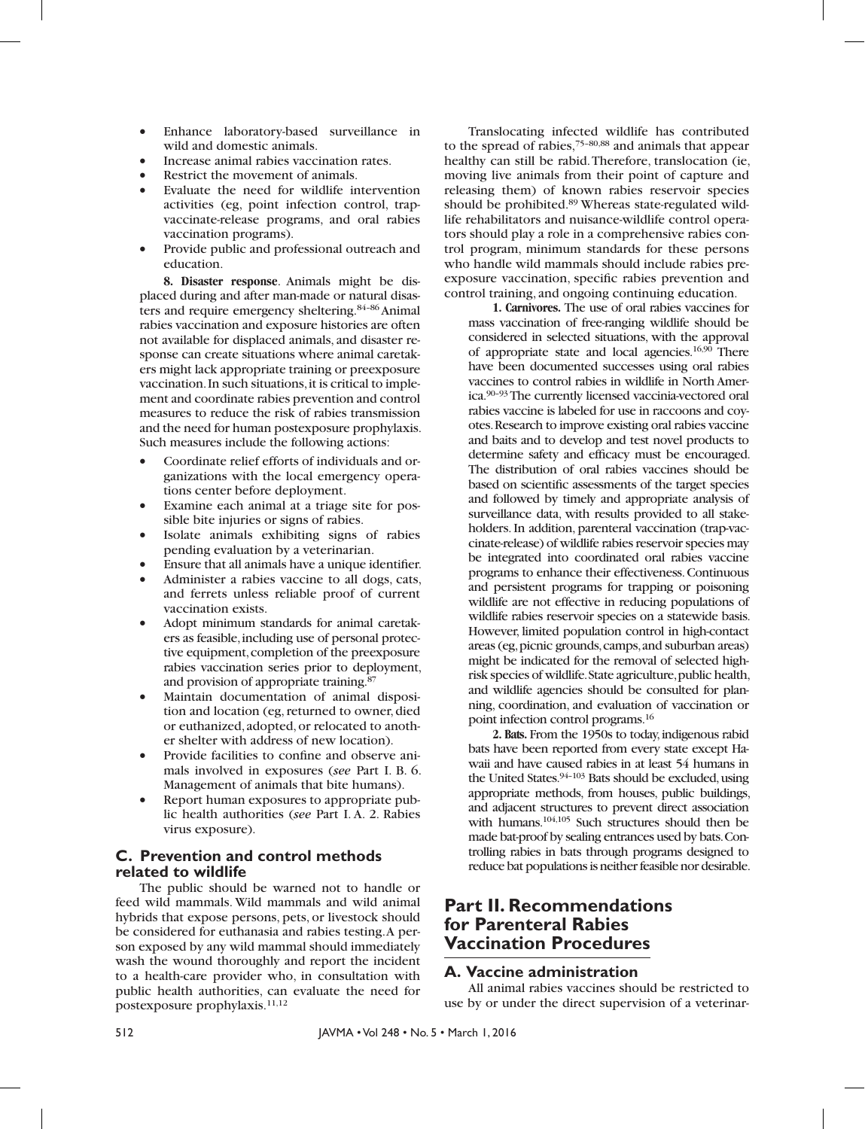- • Enhance laboratory-based surveillance in wild and domestic animals.
- Increase animal rabies vaccination rates.
- Restrict the movement of animals.
- Evaluate the need for wildlife intervention activities (eg, point infection control, trapvaccinate-release programs, and oral rabies vaccination programs).
- Provide public and professional outreach and education.

**8. Disaster response**. Animals might be displaced during and after man-made or natural disasters and require emergency sheltering.84–86 Animal rabies vaccination and exposure histories are often not available for displaced animals, and disaster response can create situations where animal caretakers might lack appropriate training or preexposure vaccination. In such situations, it is critical to implement and coordinate rabies prevention and control measures to reduce the risk of rabies transmission and the need for human postexposure prophylaxis. Such measures include the following actions:

- Coordinate relief efforts of individuals and organizations with the local emergency operations center before deployment.
- • Examine each animal at a triage site for possible bite injuries or signs of rabies.
- • Isolate animals exhibiting signs of rabies pending evaluation by a veterinarian.
- Ensure that all animals have a unique identifier.
- Administer a rabies vaccine to all dogs, cats, and ferrets unless reliable proof of current vaccination exists.
- Adopt minimum standards for animal caretakers as feasible, including use of personal protective equipment, completion of the preexposure rabies vaccination series prior to deployment, and provision of appropriate training.87
- Maintain documentation of animal disposition and location (eg, returned to owner, died or euthanized, adopted, or relocated to another shelter with address of new location).
- Provide facilities to confine and observe animals involved in exposures (*see* Part I. B. 6. Management of animals that bite humans).
- Report human exposures to appropriate public health authorities (*see* Part I. A. 2. Rabies virus exposure).

### **C. Prevention and control methods related to wildlife**

The public should be warned not to handle or feed wild mammals. Wild mammals and wild animal hybrids that expose persons, pets, or livestock should be considered for euthanasia and rabies testing. A person exposed by any wild mammal should immediately wash the wound thoroughly and report the incident to a health-care provider who, in consultation with public health authorities, can evaluate the need for postexposure prophylaxis.11,12

Translocating infected wildlife has contributed to the spread of rabies,75–80,88 and animals that appear healthy can still be rabid. Therefore, translocation (ie, moving live animals from their point of capture and releasing them) of known rabies reservoir species should be prohibited.89 Whereas state-regulated wildlife rehabilitators and nuisance-wildlife control operators should play a role in a comprehensive rabies control program, minimum standards for these persons who handle wild mammals should include rabies preexposure vaccination, specific rabies prevention and control training, and ongoing continuing education.

**1. Carnivores.** The use of oral rabies vaccines for mass vaccination of free-ranging wildlife should be considered in selected situations, with the approval of appropriate state and local agencies. $16,90$  There have been documented successes using oral rabies vaccines to control rabies in wildlife in North America.90–93 The currently licensed vaccinia-vectored oral rabies vaccine is labeled for use in raccoons and coyotes. Research to improve existing oral rabies vaccine and baits and to develop and test novel products to determine safety and efficacy must be encouraged. The distribution of oral rabies vaccines should be based on scientific assessments of the target species and followed by timely and appropriate analysis of surveillance data, with results provided to all stakeholders. In addition, parenteral vaccination (trap-vaccinate-release) of wildlife rabies reservoir species may be integrated into coordinated oral rabies vaccine programs to enhance their effectiveness. Continuous and persistent programs for trapping or poisoning wildlife are not effective in reducing populations of wildlife rabies reservoir species on a statewide basis. However, limited population control in high-contact areas (eg, picnic grounds, camps, and suburban areas) might be indicated for the removal of selected highrisk species of wildlife. State agriculture, public health, and wildlife agencies should be consulted for planning, coordination, and evaluation of vaccination or point infection control programs.16

**2. Bats.** From the 1950s to today, indigenous rabid bats have been reported from every state except Hawaii and have caused rabies in at least 54 humans in the United States. $94-103$  Bats should be excluded, using appropriate methods, from houses, public buildings, and adjacent structures to prevent direct association with humans.<sup>104,105</sup> Such structures should then be made bat-proof by sealing entrances used by bats. Controlling rabies in bats through programs designed to reduce bat populations is neither feasible nor desirable.

### **Part II. Recommendations for Parenteral Rabies Vaccination Procedures**

### **A. Vaccine administration**

All animal rabies vaccines should be restricted to use by or under the direct supervision of a veterinar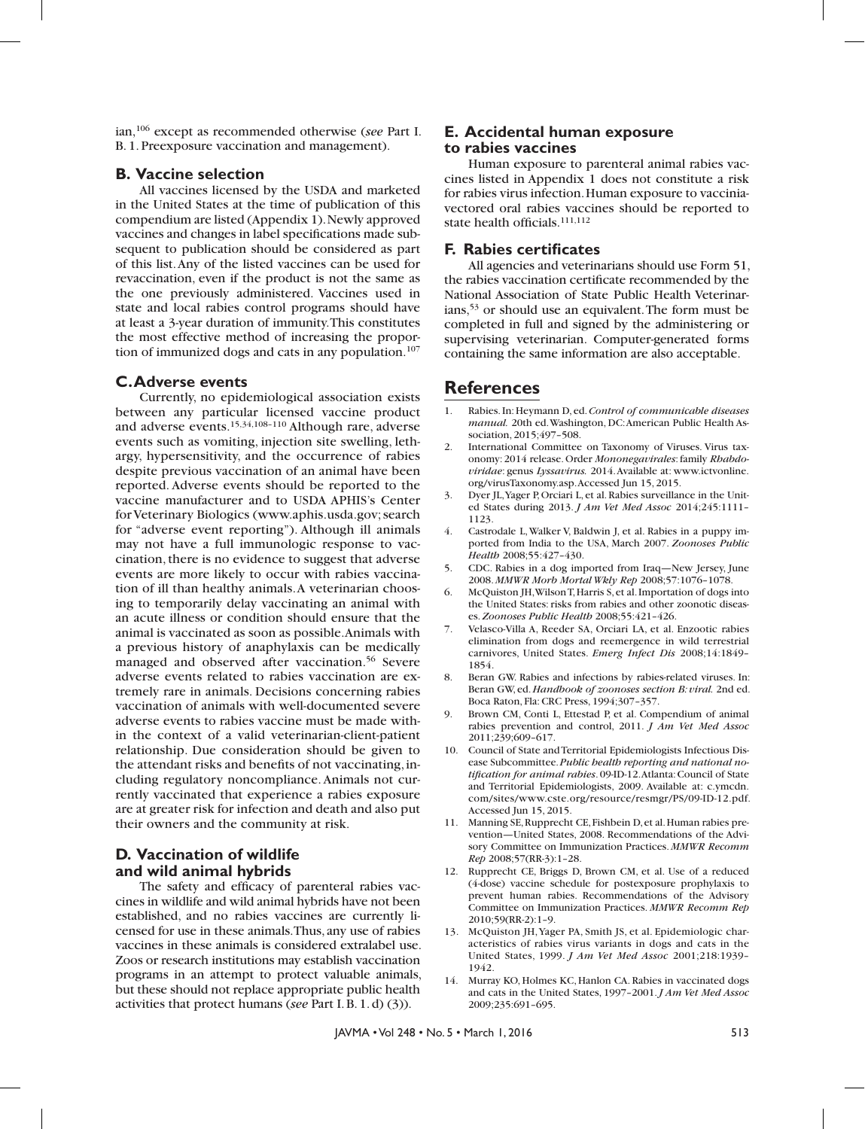ian,106 except as recommended otherwise (*see* Part I. B. 1. Preexposure vaccination and management).

### **B. Vaccine selection**

All vaccines licensed by the USDA and marketed in the United States at the time of publication of this compendium are listed (Appendix 1). Newly approved vaccines and changes in label specifications made subsequent to publication should be considered as part of this list. Any of the listed vaccines can be used for revaccination, even if the product is not the same as the one previously administered. Vaccines used in state and local rabies control programs should have at least a 3-year duration of immunity. This constitutes the most effective method of increasing the proportion of immunized dogs and cats in any population.<sup>107</sup>

### **C. Adverse events**

Currently, no epidemiological association exists between any particular licensed vaccine product and adverse events.15,34,108–110 Although rare, adverse events such as vomiting, injection site swelling, lethargy, hypersensitivity, and the occurrence of rabies despite previous vaccination of an animal have been reported. Adverse events should be reported to the vaccine manufacturer and to USDA APHIS's Center for Veterinary Biologics (www.aphis.usda.gov; search for "adverse event reporting"). Although ill animals may not have a full immunologic response to vaccination, there is no evidence to suggest that adverse events are more likely to occur with rabies vaccination of ill than healthy animals. A veterinarian choosing to temporarily delay vaccinating an animal with an acute illness or condition should ensure that the animal is vaccinated as soon as possible. Animals with a previous history of anaphylaxis can be medically managed and observed after vaccination.<sup>56</sup> Severe adverse events related to rabies vaccination are extremely rare in animals. Decisions concerning rabies vaccination of animals with well-documented severe adverse events to rabies vaccine must be made within the context of a valid veterinarian-client-patient relationship. Due consideration should be given to the attendant risks and benefits of not vaccinating, including regulatory noncompliance. Animals not currently vaccinated that experience a rabies exposure are at greater risk for infection and death and also put their owners and the community at risk.

### **D. Vaccination of wildlife and wild animal hybrids**

The safety and efficacy of parenteral rabies vaccines in wildlife and wild animal hybrids have not been established, and no rabies vaccines are currently licensed for use in these animals. Thus, any use of rabies vaccines in these animals is considered extralabel use. Zoos or research institutions may establish vaccination programs in an attempt to protect valuable animals, but these should not replace appropriate public health activities that protect humans (*see* Part I. B. 1. d) (3)).

### **E. Accidental human exposure to rabies vaccines**

Human exposure to parenteral animal rabies vaccines listed in Appendix 1 does not constitute a risk for rabies virus infection. Human exposure to vacciniavectored oral rabies vaccines should be reported to state health officials.111,112

#### **F. Rabies certificates**

All agencies and veterinarians should use Form 51, the rabies vaccination certificate recommended by the National Association of State Public Health Veterinarians,53 or should use an equivalent. The form must be completed in full and signed by the administering or supervising veterinarian. Computer-generated forms containing the same information are also acceptable.

### **References**

- 1. Rabies. In: Heymann D, ed. *Control of communicable diseases manual.* 20th ed. Washington, DC: American Public Health Association, 2015;497–508.
- 2. International Committee on Taxonomy of Viruses. Virus taxonomy: 2014 release. Order *Mononegavirales*: family *Rhabdoviridae*: genus *Lyssavirus.* 2014. Available at: www.ictvonline. org/virusTaxonomy.asp. Accessed Jun 15, 2015.
- 3. Dyer JL, Yager P, Orciari L, et al. Rabies surveillance in the United States during 2013. *J Am Vet Med Assoc* 2014;245:1111– 1123.
- 4. Castrodale L, Walker V, Baldwin J, et al. Rabies in a puppy imported from India to the USA, March 2007. *Zoonoses Public Health* 2008;55:427–430.
- 5. CDC. Rabies in a dog imported from Iraq—New Jersey, June 2008. *MMWR Morb Mortal Wkly Rep* 2008;57:1076–1078.
- 6. McQuiston JH, Wilson T, Harris S, et al. Importation of dogs into the United States: risks from rabies and other zoonotic diseases. *Zoonoses Public Health* 2008;55:421–426.
- 7. Velasco-Villa A, Reeder SA, Orciari LA, et al. Enzootic rabies elimination from dogs and reemergence in wild terrestrial carnivores, United States. *Emerg Infect Dis* 2008;14:1849– 1854.
- 8. Beran GW. Rabies and infections by rabies-related viruses. In: Beran GW, ed. *Handbook of zoonoses section B: viral.* 2nd ed. Boca Raton, Fla: CRC Press, 1994;307–357.
- 9. Brown CM, Conti L, Ettestad P, et al. Compendium of animal rabies prevention and control, 2011. *J Am Vet Med Assoc*  2011;239;609–617.
- 10. Council of State and Territorial Epidemiologists Infectious Disease Subcommittee. *Public health reporting and national notification for animal rabies*. 09-ID-12. Atlanta: Council of State and Territorial Epidemiologists, 2009. Available at: c.ymcdn. com/sites/www.cste.org/resource/resmgr/PS/09-ID-12.pdf. Accessed Jun 15, 2015.
- 11. Manning SE, Rupprecht CE, Fishbein D, et al. Human rabies prevention—United States, 2008. Recommendations of the Advisory Committee on Immunization Practices. *MMWR Recomm Rep* 2008;57(RR-3):1–28.
- 12. Rupprecht CE, Briggs D, Brown CM, et al. Use of a reduced (4-dose) vaccine schedule for postexposure prophylaxis to prevent human rabies. Recommendations of the Advisory Committee on Immunization Practices. *MMWR Recomm Rep*  2010;59(RR-2):1–9.
- 13. McQuiston JH, Yager PA, Smith JS, et al. Epidemiologic characteristics of rabies virus variants in dogs and cats in the United States, 1999. *J Am Vet Med Assoc* 2001;218:1939– 1942.
- 14. Murray KO, Holmes KC, Hanlon CA. Rabies in vaccinated dogs and cats in the United States, 1997–2001. *J Am Vet Med Assoc*  2009;235:691–695.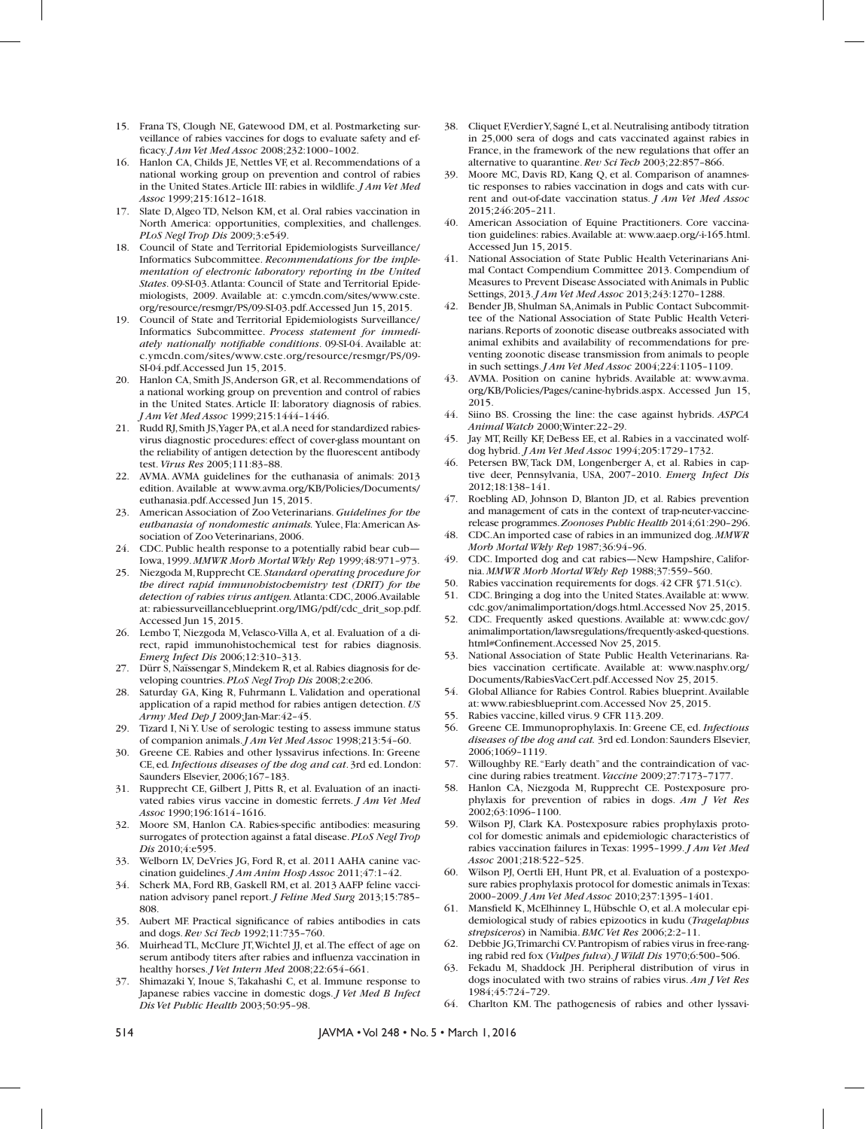- 15. Frana TS, Clough NE, Gatewood DM, et al. Postmarketing surveillance of rabies vaccines for dogs to evaluate safety and efficacy. *J Am Vet Med Assoc* 2008;232:1000–1002.
- 16. Hanlon CA, Childs JE, Nettles VF, et al. Recommendations of a national working group on prevention and control of rabies in the United States. Article III: rabies in wildlife. *J Am Vet Med Assoc* 1999;215:1612–1618.
- 17. Slate D, Algeo TD, Nelson KM, et al. Oral rabies vaccination in North America: opportunities, complexities, and challenges. *PLoS Negl Trop Dis* 2009;3:e549.
- 18. Council of State and Territorial Epidemiologists Surveillance/ Informatics Subcommittee. *Recommendations for the implementation of electronic laboratory reporting in the United States*. 09-SI-03. Atlanta: Council of State and Territorial Epidemiologists, 2009. Available at: c.ymcdn.com/sites/www.cste. org/resource/resmgr/PS/09-SI-03.pdf. Accessed Jun 15, 2015.
- 19. Council of State and Territorial Epidemiologists Surveillance/ Informatics Subcommittee. *Process statement for immediately nationally notifiable conditions*. 09-SI-04. Available at: c.ymcdn.com/sites/www.cste.org/resource/resmgr/PS/09- SI-04.pdf. Accessed Jun 15, 2015.
- 20. Hanlon CA, Smith JS, Anderson GR, et al. Recommendations of a national working group on prevention and control of rabies in the United States. Article II: laboratory diagnosis of rabies. *J Am Vet Med Assoc* 1999;215:1444–1446.
- 21. Rudd RJ, Smith JS, Yager PA, et al. A need for standardized rabiesvirus diagnostic procedures: effect of cover-glass mountant on the reliability of antigen detection by the fluorescent antibody test. *Virus Res* 2005;111:83–88.
- 22. AVMA. AVMA guidelines for the euthanasia of animals: 2013 edition. Available at www.avma.org/KB/Policies/Documents/ euthanasia.pdf. Accessed Jun 15, 2015.
- 23. American Association of Zoo Veterinarians. *Guidelines for the euthanasia of nondomestic animals.* Yulee, Fla: American Association of Zoo Veterinarians, 2006.
- 24. CDC. Public health response to a potentially rabid bear cub— Iowa, 1999. *MMWR Morb Mortal Wkly Rep* 1999;48:971–973.
- 25. Niezgoda M, Rupprecht CE. *Standard operating procedure for the direct rapid immunohistochemistry test (DRIT) for the detection of rabies virus antigen.* Atlanta: CDC, 2006. Available at: rabiessurveillanceblueprint.org/IMG/pdf/cdc\_drit\_sop.pdf. Accessed Jun 15, 2015.
- 26. Lembo T, Niezgoda M, Velasco-Villa A, et al. Evaluation of a direct, rapid immunohistochemical test for rabies diagnosis. *Emerg Infect Dis* 2006;12:310–313.
- 27. Dürr S, Naïssengar S, Mindekem R, et al. Rabies diagnosis for developing countries. *PLoS Negl Trop Dis* 2008;2:e206.
- 28. Saturday GA, King R, Fuhrmann L. Validation and operational application of a rapid method for rabies antigen detection. *US Army Med Dep J* 2009;Jan-Mar:42–45.
- 29. Tizard I, Ni Y. Use of serologic testing to assess immune status of companion animals. *J Am Vet Med Assoc* 1998;213:54–60.
- 30. Greene CE. Rabies and other lyssavirus infections. In: Greene CE, ed*. Infectious diseases of the dog and cat*. 3rd ed. London: Saunders Elsevier, 2006;167–183.
- 31. Rupprecht CE, Gilbert J, Pitts R, et al. Evaluation of an inactivated rabies virus vaccine in domestic ferrets. *J Am Vet Med Assoc* 1990;196:1614–1616.
- 32. Moore SM, Hanlon CA. Rabies-specific antibodies: measuring surrogates of protection against a fatal disease. *PLoS Negl Trop Dis* 2010;4:e595.
- 33. Welborn LV, DeVries JG, Ford R, et al. 2011 AAHA canine vaccination guidelines. *J Am Anim Hosp Assoc* 2011;47:1–42.
- 34. Scherk MA, Ford RB, Gaskell RM, et al. 2013 AAFP feline vaccination advisory panel report. *J Feline Med Surg* 2013;15:785– 808.
- 35. Aubert MF. Practical significance of rabies antibodies in cats and dogs. *Rev Sci Tech* 1992;11:735–760.
- 36. Muirhead TL, McClure JT, Wichtel JJ, et al. The effect of age on serum antibody titers after rabies and influenza vaccination in healthy horses. *J Vet Intern Med* 2008;22:654–661.
- 37. Shimazaki Y, Inoue S, Takahashi C, et al. Immune response to Japanese rabies vaccine in domestic dogs. *J Vet Med B Infect Dis Vet Public Health* 2003;50:95–98.
- 38. Cliquet F, Verdier Y, Sagné L, et al. Neutralising antibody titration in 25,000 sera of dogs and cats vaccinated against rabies in France, in the framework of the new regulations that offer an alternative to quarantine. *Rev Sci Tech* 2003;22:857–866.
- 39. Moore MC, Davis RD, Kang Q, et al. Comparison of anamnestic responses to rabies vaccination in dogs and cats with current and out-of-date vaccination status. *J Am Vet Med Assoc* 2015;246:205–211.
- 40. American Association of Equine Practitioners. Core vaccination guidelines: rabies. Available at: www.aaep.org/-i-165.html. Accessed Jun 15, 2015.
- 41. National Association of State Public Health Veterinarians Animal Contact Compendium Committee 2013. Compendium of Measures to Prevent Disease Associated with Animals in Public Settings, 2013. *J Am Vet Med Assoc* 2013;243:1270–1288.
- 42. Bender JB, Shulman SA, Animals in Public Contact Subcommittee of the National Association of State Public Health Veterinarians. Reports of zoonotic disease outbreaks associated with animal exhibits and availability of recommendations for preventing zoonotic disease transmission from animals to people in such settings. *J Am Vet Med Assoc* 2004;224:1105–1109.
- 43. AVMA. Position on canine hybrids. Available at: www.avma. org/KB/Policies/Pages/canine-hybrids.aspx. Accessed Jun 15, 2015.
- 44. Siino BS. Crossing the line: the case against hybrids. *ASPCA Animal Watch* 2000;Winter:22–29.
- 45. Jay MT, Reilly KF, DeBess EE, et al. Rabies in a vaccinated wolfdog hybrid. *J Am Vet Med Assoc* 1994;205:1729–1732.
- 46. Petersen BW, Tack DM, Longenberger A, et al. Rabies in captive deer, Pennsylvania, USA, 2007–2010. *Emerg Infect Dis* 2012;18:138–141.
- 47. Roebling AD, Johnson D, Blanton JD, et al. Rabies prevention and management of cats in the context of trap-neuter-vaccinerelease programmes. *Zoonoses Public Health* 2014;61:290–296.
- 48. CDC. An imported case of rabies in an immunized dog. *MMWR Morb Mortal Wkly Rep* 1987;36:94–96.
- 49. CDC. Imported dog and cat rabies—New Hampshire, California. *MMWR Morb Mortal Wkly Rep* 1988;37:559–560.
- 50. Rabies vaccination requirements for dogs. 42 CFR §71.51(c).
- 51. CDC. Bringing a dog into the United States. Available at: www. cdc.gov/animalimportation/dogs.html. Accessed Nov 25, 2015.
- 52. CDC. Frequently asked questions. Available at: www.cdc.gov/ animalimportation/lawsregulations/frequently-asked-questions. html#Confinement. Accessed Nov 25, 2015.
- 53. National Association of State Public Health Veterinarians. Rabies vaccination certificate. Available at: www.nasphv.org/ Documents/RabiesVacCert.pdf. Accessed Nov 25, 2015.
- 54. Global Alliance for Rabies Control. Rabies blueprint. Available at: www.rabiesblueprint.com. Accessed Nov 25, 2015.
- 55. Rabies vaccine, killed virus. 9 CFR 113.209.
- 56. Greene CE. Immunoprophylaxis. In: Greene CE, ed. *Infectious diseases of the dog and cat.* 3rd ed. London: Saunders Elsevier, 2006;1069–1119.
- 57. Willoughby RE. "Early death" and the contraindication of vaccine during rabies treatment. *Vaccine* 2009;27:7173–7177.
- 58. Hanlon CA, Niezgoda M, Rupprecht CE. Postexposure prophylaxis for prevention of rabies in dogs. *Am J Vet Res*  2002;63:1096–1100.
- 59. Wilson PJ, Clark KA. Postexposure rabies prophylaxis protocol for domestic animals and epidemiologic characteristics of rabies vaccination failures in Texas: 1995–1999. *J Am Vet Med Assoc* 2001;218:522–525.
- 60. Wilson PJ, Oertli EH, Hunt PR, et al. Evaluation of a postexposure rabies prophylaxis protocol for domestic animals in Texas: 2000–2009. *J Am Vet Med Assoc* 2010;237:1395–1401.
- 61. Mansfield K, McElhinney L, Hübschle O, et al. A molecular epidemiological study of rabies epizootics in kudu (*Tragelaphus strepsiceros*) in Namibia. *BMC Vet Res* 2006;2:2–11.
- 62. Debbie JG, Trimarchi CV. Pantropism of rabies virus in free-ranging rabid red fox (*Vulpes fulva*). *J Wildl Dis* 1970;6:500–506.
- 63. Fekadu M, Shaddock JH. Peripheral distribution of virus in dogs inoculated with two strains of rabies virus. *Am J Vet Res*  1984;45:724–729.
- 64. Charlton KM. The pathogenesis of rabies and other lyssavi-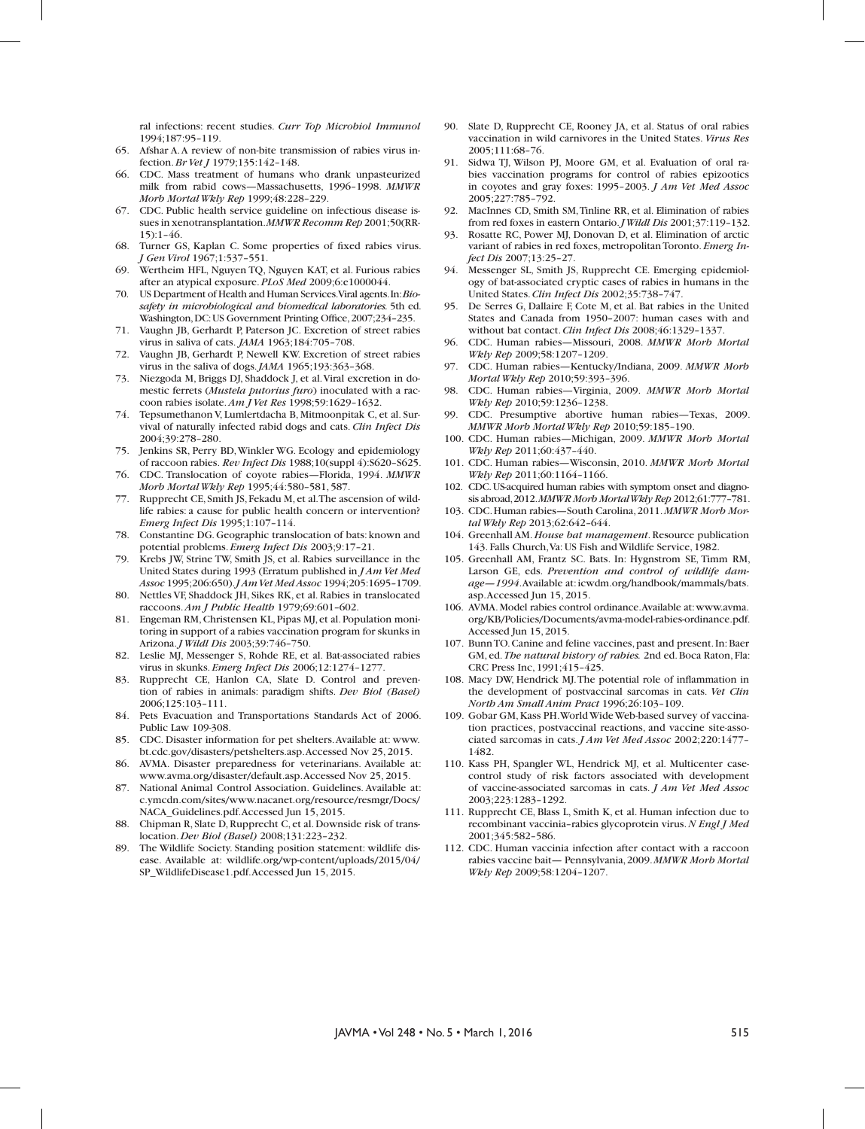ral infections: recent studies. *Curr Top Microbiol Immunol*  1994;187:95–119.

- 65. Afshar A. A review of non-bite transmission of rabies virus infection. *Br Vet J* 1979;135:142–148.
- 66. CDC. Mass treatment of humans who drank unpasteurized milk from rabid cows—Massachusetts, 1996–1998. *MMWR Morb Mortal Wkly Rep* 1999;48:228–229.
- 67. CDC. Public health service guideline on infectious disease issues in xenotransplantation. *MMWR Recomm Rep* 2001;50(RR- $15$ ):  $1-46$ .
- 68. Turner GS, Kaplan C. Some properties of fixed rabies virus. *J Gen Virol* 1967;1:537–551.
- 69. Wertheim HFL, Nguyen TQ, Nguyen KAT, et al. Furious rabies after an atypical exposure. *PLoS Med* 2009;6:e1000044.
- 70. US Department of Health and Human Services. Viral agents. In: *Biosafety in microbiological and biomedical laboratories.* 5th ed. Washington, DC: US Government Printing Office, 2007;234–235.
- 71. Vaughn JB, Gerhardt P, Paterson JC. Excretion of street rabies virus in saliva of cats. *JAMA* 1963;184:705–708.
- 72. Vaughn JB, Gerhardt P, Newell KW. Excretion of street rabies virus in the saliva of dogs. *JAMA* 1965;193:363–368.
- 73. Niezgoda M, Briggs DJ, Shaddock J, et al. Viral excretion in domestic ferrets (*Mustela putorius furo*) inoculated with a raccoon rabies isolate. *Am J Vet Res* 1998;59:1629–1632.
- 74. Tepsumethanon V, Lumlertdacha B, Mitmoonpitak C, et al. Survival of naturally infected rabid dogs and cats. *Clin Infect Dis*  2004;39:278–280.
- 75. Jenkins SR, Perry BD, Winkler WG. Ecology and epidemiology of raccoon rabies. *Rev Infect Dis* 1988;10(suppl 4):S620–S625.
- 76. CDC. Translocation of coyote rabies—Florida, 1994. *MMWR Morb Mortal Wkly Rep* 1995;44:580–581, 587.
- 77. Rupprecht CE, Smith JS, Fekadu M, et al. The ascension of wildlife rabies: a cause for public health concern or intervention? *Emerg Infect Dis* 1995;1:107–114.
- 78. Constantine DG. Geographic translocation of bats: known and potential problems. *Emerg Infect Dis* 2003;9:17–21.
- 79. Krebs JW, Strine TW, Smith JS, et al. Rabies surveillance in the United States during 1993 (Erratum published in *J Am Vet Med Assoc* 1995;206:650). *J Am Vet Med Assoc* 1994;205:1695–1709.
- 80. Nettles VF, Shaddock JH, Sikes RK, et al. Rabies in translocated raccoons. *Am J Public Health* 1979;69:601–602.
- 81. Engeman RM, Christensen KL, Pipas MJ, et al. Population monitoring in support of a rabies vaccination program for skunks in Arizona. *J Wildl Dis* 2003;39:746–750.
- 82. Leslie MJ, Messenger S, Rohde RE, et al. Bat-associated rabies virus in skunks. *Emerg Infect Dis* 2006;12:1274–1277.
- 83. Rupprecht CE, Hanlon CA, Slate D. Control and prevention of rabies in animals: paradigm shifts. *Dev Biol (Basel)*  2006;125:103–111.
- 84. Pets Evacuation and Transportations Standards Act of 2006. Public Law 109-308.
- 85. CDC. Disaster information for pet shelters. Available at: www. bt.cdc.gov/disasters/petshelters.asp. Accessed Nov 25, 2015.
- 86. AVMA. Disaster preparedness for veterinarians. Available at: www.avma.org/disaster/default.asp. Accessed Nov 25, 2015.
- 87. National Animal Control Association. Guidelines. Available at: c.ymcdn.com/sites/www.nacanet.org/resource/resmgr/Docs/ NACA\_Guidelines.pdf. Accessed Jun 15, 2015.
- 88. Chipman R, Slate D, Rupprecht C, et al. Downside risk of translocation. *Dev Biol (Basel)* 2008;131:223–232.
- 89. The Wildlife Society. Standing position statement: wildlife disease. Available at: wildlife.org/wp-content/uploads/2015/04/ SP\_WildlifeDisease1.pdf. Accessed Jun 15, 2015.
- 90. Slate D, Rupprecht CE, Rooney JA, et al. Status of oral rabies vaccination in wild carnivores in the United States. *Virus Res*  2005;111:68–76.
- 91. Sidwa TJ, Wilson PJ, Moore GM, et al. Evaluation of oral rabies vaccination programs for control of rabies epizootics in coyotes and gray foxes: 1995–2003. *J Am Vet Med Assoc* 2005;227:785–792.
- 92. MacInnes CD, Smith SM, Tinline RR, et al. Elimination of rabies from red foxes in eastern Ontario. *J Wildl Dis* 2001;37:119–132.
- 93. Rosatte RC, Power MJ, Donovan D, et al. Elimination of arctic variant of rabies in red foxes, metropolitan Toronto. *Emerg Infect Dis* 2007;13:25–27.
- 94. Messenger SL, Smith JS, Rupprecht CE. Emerging epidemiology of bat-associated cryptic cases of rabies in humans in the United States. *Clin Infect Dis* 2002;35:738–747.
- 95. De Serres G, Dallaire F, Cote M, et al. Bat rabies in the United States and Canada from 1950–2007: human cases with and without bat contact. *Clin Infect Dis* 2008;46:1329–1337.
- 96. CDC. Human rabies—Missouri, 2008. *MMWR Morb Mortal Wkly Rep* 2009;58:1207–1209.
- 97. CDC. Human rabies—Kentucky/Indiana, 2009. *MMWR Morb Mortal Wkly Rep* 2010;59:393–396.
- 98. CDC. Human rabies—Virginia, 2009. *MMWR Morb Mortal Wkly Rep* 2010;59:1236–1238.
- 99. CDC. Presumptive abortive human rabies—Texas, 2009. *MMWR Morb Mortal Wkly Rep* 2010;59:185–190.
- 100. CDC. Human rabies—Michigan, 2009. *MMWR Morb Mortal Wkly Rep* 2011;60:437–440.
- 101. CDC. Human rabies—Wisconsin, 2010. *MMWR Morb Mortal Wkly Rep* 2011;60:1164–1166.
- 102. CDC. US-acquired human rabies with symptom onset and diagnosis abroad, 2012. *MMWR Morb Mortal Wkly Rep* 2012;61:777–781.
- 103. CDC. Human rabies—South Carolina, 2011. *MMWR Morb Mortal Wkly Rep* 2013;62:642–644.
- 104. Greenhall AM. *House bat management*. Resource publication 143. Falls Church, Va: US Fish and Wildlife Service, 1982.
- 105. Greenhall AM, Frantz SC. Bats. In: Hygnstrom SE, Timm RM, Larson GE, eds. *Prevention and control of wildlife damage—1994*. Available at: icwdm.org/handbook/mammals/bats. asp. Accessed Jun 15, 2015.
- 106. AVMA. Model rabies control ordinance. Available at: www.avma. org/KB/Policies/Documents/avma-model-rabies-ordinance.pdf. Accessed Jun 15, 2015.
- 107. Bunn TO. Canine and feline vaccines, past and present. In: Baer GM, ed. *The natural history of rabies.* 2nd ed. Boca Raton, Fla: CRC Press Inc, 1991;415–425.
- 108. Macy DW, Hendrick MJ. The potential role of inflammation in the development of postvaccinal sarcomas in cats. *Vet Clin North Am Small Anim Pract* 1996;26:103–109.
- 109. Gobar GM, Kass PH. World Wide Web-based survey of vaccination practices, postvaccinal reactions, and vaccine site-associated sarcomas in cats. *J Am Vet Med Assoc* 2002;220:1477– 1482.
- 110. Kass PH, Spangler WL, Hendrick MJ, et al. Multicenter casecontrol study of risk factors associated with development of vaccine-associated sarcomas in cats. *J Am Vet Med Assoc*  2003;223:1283–1292.
- 111. Rupprecht CE, Blass L, Smith K, et al. Human infection due to recombinant vaccinia–rabies glycoprotein virus. *N Engl J Med* 2001;345:582–586.
- 112. CDC. Human vaccinia infection after contact with a raccoon rabies vaccine bait— Pennsylvania, 2009. *MMWR Morb Mortal Wkly Rep* 2009;58:1204–1207.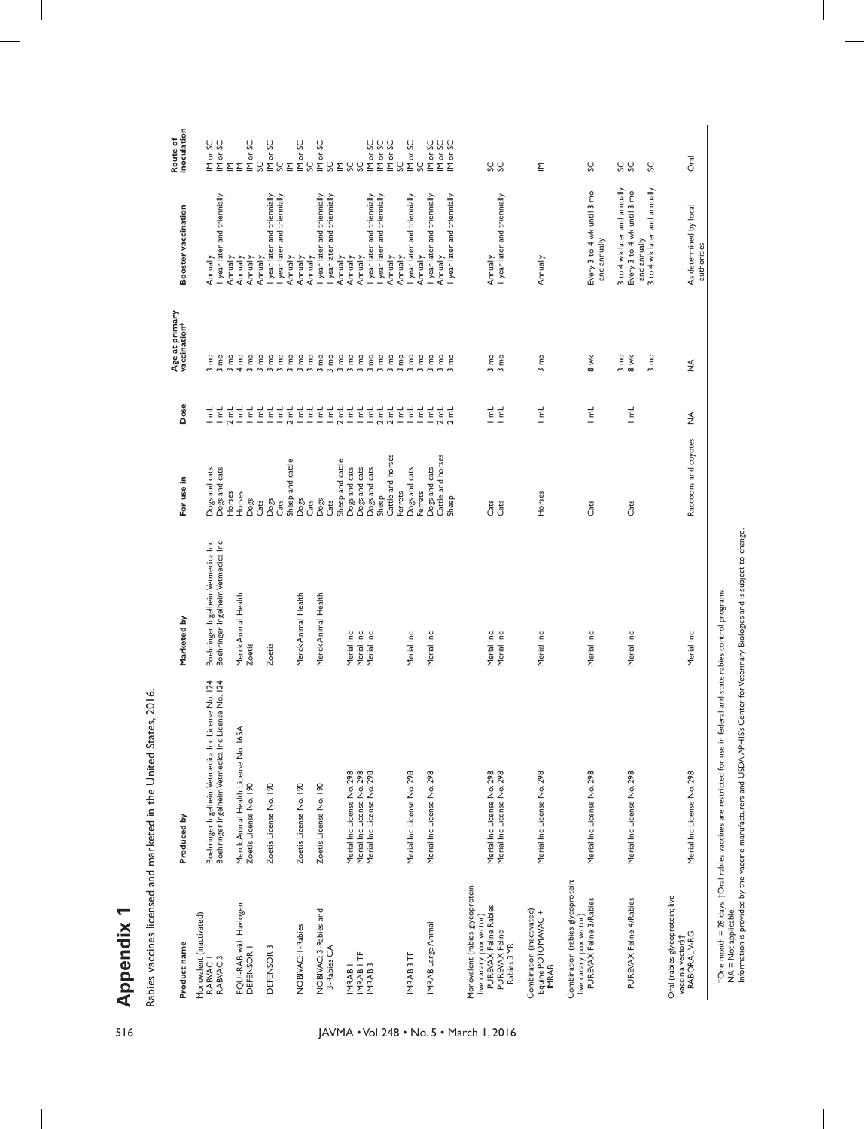**Appendix 1** 

| ļ                |
|------------------|
|                  |
|                  |
| i<br>ı<br>í<br>l |
| l<br>֠           |
| ı<br>ׇׅ֠         |
|                  |
| l<br>֠           |
| I                |
| ֕<br>i<br>l      |
| ֠<br>l           |
| i<br>l           |

| 516                                     | ↽<br>Appendix                                                   |                                                                   |                                    |                                |                                             |                                                             |                                                            |                                        |
|-----------------------------------------|-----------------------------------------------------------------|-------------------------------------------------------------------|------------------------------------|--------------------------------|---------------------------------------------|-------------------------------------------------------------|------------------------------------------------------------|----------------------------------------|
|                                         |                                                                 | Rabies vaccines licensed and marketed in the United States, 2016. |                                    |                                |                                             |                                                             |                                                            |                                        |
|                                         | Product name                                                    | Produced by                                                       | Marketed by                        | For use in                     | Dose                                        | Age at primary<br>vaccination*                              | Booster vaccination                                        | inoculation<br>Route of                |
|                                         | Monovalent (inactivated)<br>RABVAC I                            | Boehringer Ingelheim Vetmedica Inc License No. 124                | Boehringer Ingelheim Vetmedica Inc | Dogs and cats                  | 궅                                           | g<br>$\mathsf{L}$                                           | Annually                                                   | IM or SC<br>IM or SC                   |
|                                         | RABVAC <sub>3</sub>                                             | Boehringer Ingelheim Vetmedica Inc License No. 124                | Boehringer Ingelheim Vetmedica Inc | Dogs and cats<br>Horses        | 뉱<br>귙                                      | g<br>g<br>$\mathsf{S}$                                      | year later and triennially<br>Annually                     | $\Sigma$                               |
|                                         | EQUI-RAB with Havlogen                                          | Merck Animal Health License No. 165A                              | Merck Animal Health                | Horses                         | 귙                                           | 4 <sub>mo</sub>                                             | Annually<br>Annually                                       | Σ                                      |
|                                         | DEFENSOR I                                                      | Zoetis License No. 190                                            | Zoetis                             | Dogs<br>Cats                   | 뉱                                           | 3 <sub>mo</sub><br>g<br>$\sim$                              | Annually                                                   | IM or SC<br>SC                         |
|                                         | DEFENSOR <sub>3</sub>                                           | Zoetis License No. 190                                            | Zoetis                             | Dogs                           | 는 날                                         | g<br>$\sim$                                                 | I year later and triennially                               | IM or SC                               |
|                                         |                                                                 |                                                                   |                                    | Sheep and cattle<br>Cats       | 귙<br>귙                                      | $3 \text{ mo}$                                              | I year later and triennially                               | SC<br>$\mathsf{\underline{\Sigma}}$    |
|                                         | NOBIVAC: I-Rabies                                               | Zoetis License No. 190                                            | Merck Animal Health                | Dogs                           | <u>같</u>                                    | $\frac{3}{3}$ mo                                            | Annually<br>Annually                                       | IM or SC                               |
|                                         | NOBIVAC: 3-Rabies and                                           | Zoetis License No. 190                                            | Merck Animal Health                | Dogs<br>Cats                   |                                             | $\begin{array}{c} 3 \text{ mo} \\ 3 \text{ mo} \end{array}$ | I year later and triennially<br>Annually                   | IM or SC<br>SC                         |
|                                         | 3-Rabies CA                                                     |                                                                   |                                    | Cats                           | <b>같</b>                                    | $\frac{3}{3} \text{ mo}$                                    | I year later and triennially                               | $\overset{C}{\phantom{a}}$ $\subseteq$ |
|                                         | IMRAB <sub>I</sub>                                              |                                                                   |                                    | Sheep and cattle               | 로 <u>부</u>                                  |                                                             | Annually<br>Annually                                       |                                        |
|                                         | IMRAB I TF                                                      | Merial Inc License No. 298<br>Merial Inc License No. 298          | Merial Inc<br>Merial Inc           | Dogs and cats<br>Dogs and cats |                                             | $\epsilon$<br>$3 \text{ mo}$<br>$\sim$                      | Annually                                                   | SS<br>C                                |
|                                         | IMRAB <sub>3</sub>                                              | Merial Inc License No. 298                                        | Merial Inc                         | Dogs and cats                  | 는 날                                         | g<br>m <sub>m</sub>                                         | I year later and triennially                               | IM or SC                               |
|                                         |                                                                 |                                                                   |                                    | Sheep                          | $\overline{\epsilon}$<br>$\sim$<br>$\sim$   | $\mathsf{g}% _{T}$<br>$\sim$                                | I year later and triennially                               | IM or SC<br>IM or SC                   |
|                                         |                                                                 |                                                                   |                                    | Cattle and horses<br>Ferrets   | $\vec{E}$<br>귙                              | g<br>$\mathsf{g}% _{T}$<br>$\sim$                           | Annually<br>Annually                                       | SC                                     |
|                                         | IMRAB 3TF                                                       | Merial Inc License No. 298                                        | Merial Inc                         | Dogs and cats                  | $\overline{\epsilon}$                       | g<br>w                                                      | I year later and triennially                               | IM or SC                               |
|                                         |                                                                 |                                                                   |                                    | Ferrets                        | $\overline{\epsilon}$                       | g<br>$\sim$                                                 | Annually                                                   | SC                                     |
|                                         | IMRAB Large Animal                                              | Merial Inc License No. 298                                        | Merial Inc                         | Dogs and cats                  | 뉱                                           | g<br>$\sim$                                                 | year later and triennially                                 |                                        |
|                                         |                                                                 |                                                                   |                                    | Cattle and horses<br>Sheep     | 는<br>도<br>$\overline{\mathbf{c}}$<br>$\sim$ | e<br>E<br>E<br>$m \, m$                                     | I year later and triennially<br>Annually                   | Nor SC<br>Nor SC<br>Nor SC             |
| JAVMA . Vol 248 . No. 5 . March 1, 2016 | Monovalent (rabies glycoprotein;                                |                                                                   |                                    |                                |                                             |                                                             |                                                            |                                        |
|                                         | PUREVAX Feline Rabies<br>live canary pox vector)                |                                                                   |                                    | Cats                           |                                             |                                                             | Annually                                                   |                                        |
|                                         | PUREVAX Feline<br>Rabies 3YR                                    | Merial Inc License No. 298<br>Merial Inc License No. 298          | Merial Inc<br>Merial Inc           | Cats                           | 는 부                                         | e<br>E<br>E<br>ოო                                           | I year later and triennially                               | S<br>S<br>S                            |
|                                         |                                                                 |                                                                   |                                    |                                |                                             |                                                             |                                                            |                                        |
|                                         | Combination (inactivated)<br>Equine POTOMAVAC +<br><b>IMRAB</b> | Merial Inc License No. 298                                        | Merial Inc                         | Horses                         | 뉱<br>—                                      | $3 \text{ mo}$                                              | Annually                                                   | $\mathsf{\underline{\Sigma}}$          |
|                                         | Combination (rabies glycoprotein;                               |                                                                   |                                    |                                |                                             |                                                             |                                                            |                                        |
|                                         | live canary pox vector)<br>PUREVAX Feline 3/Rabies              | Merial Inc License No. 298                                        | Merial Inc                         | Cats                           | 뉱                                           | $\stackrel{\times}{\phantom{}_{\sim}}$                      | Every 3 to 4 wk until 3 mo<br>and annually                 | SC                                     |
|                                         | PUREVAX Feline 4/Rabies                                         | Merial Inc License No. 298                                        | Merial Inc                         | Cats                           | 뉱                                           | $3 \text{ mo}$<br>8 wk                                      | 3 to 4 wk later and annually<br>Every 3 to 4 wk until 3 mo | SS C                                   |
|                                         |                                                                 |                                                                   |                                    |                                |                                             |                                                             | and annually                                               |                                        |
|                                         |                                                                 |                                                                   |                                    |                                |                                             | g<br>$\sim$                                                 | 3 to 4 wk later and annually                               | SC                                     |
|                                         | Oral (rabies glycoprotein; live<br>vaccinia vector)             |                                                                   |                                    |                                |                                             |                                                             |                                                            |                                        |
|                                         | RABORAL V-RG                                                    | Merial Inc License No. 298                                        | Merial Inc                         | Raccoons and coyotes           | ≸                                           | ≸                                                           | As determined by local                                     | <b>Dral</b>                            |
|                                         |                                                                 |                                                                   |                                    |                                |                                             |                                                             | authorities                                                |                                        |

\*One month = 28 days.†Oral rabies vaccines are restricted for use in federal and state rabies control programs.<br>NA = Not applicable.<br>Information is provided by the vaccine manufacturers and USDAAPHIS's Center for Veterinar \*One month = 28 days. †Oral rabies vaccines are restricted for use in federal and state rabies control programs.

 $\mathbf{I}$ 

NA = Not applicable. Information is provided by the vaccine manufacturers and USDA APHIS's Center for Veterinary Biologics and is subject to change.